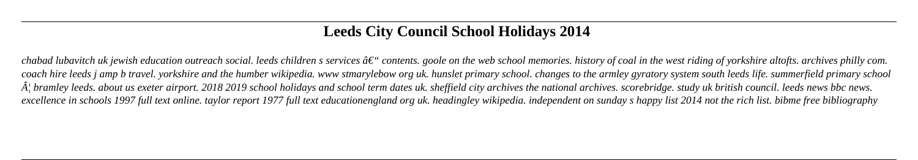# **Leeds City Council School Holidays 2014**

chabad lubavitch uk jewish education outreach social. leeds children s services  $\hat{a}\epsilon$ " contents. goole on the web school memories. history of coal in the west riding of yorkshire altofts. archives philly com. *coach hire leeds j amp b travel. yorkshire and the humber wikipedia. www stmarylebow org uk. hunslet primary school. changes to the armley gyratory system south leeds life. summerfield primary school*  $\hat{A}$  bramley leeds. about us exeter airport. 2018 2019 school holidays and school term dates uk. sheffield city archives the national archives. scorebridge. study uk british council. leeds news bbc news. *excellence in schools 1997 full text online. taylor report 1977 full text educationengland org uk. headingley wikipedia. independent on sunday s happy list 2014 not the rich list. bibme free bibliography*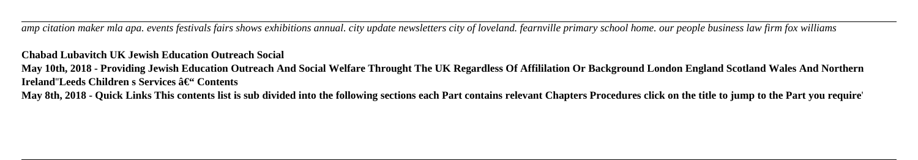*amp citation maker mla apa. events festivals fairs shows exhibitions annual. city update newsletters city of loveland. fearnville primary school home. our people business law firm fox williams*

**May 10th, 2018 - Providing Jewish Education Outreach And Social Welfare Throught The UK Regardless Of Affililation Or Background London England Scotland Wales And Northern Ireland''Leeds Children s Services â€" Contents** 

## **Chabad Lubavitch UK Jewish Education Outreach Social**

**May 8th, 2018 - Quick Links This contents list is sub divided into the following sections each Part contains relevant Chapters Procedures click on the title to jump to the Part you require**'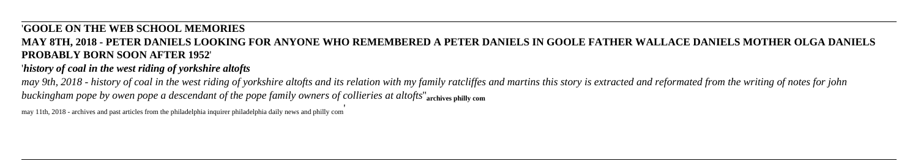## '**GOOLE ON THE WEB SCHOOL MEMORIES**

## **MAY 8TH, 2018 - PETER DANIELS LOOKING FOR ANYONE WHO REMEMBERED A PETER DANIELS IN GOOLE FATHER WALLACE DANIELS MOTHER OLGA DANIELS PROBABLY BORN SOON AFTER 1952**'

## '*history of coal in the west riding of yorkshire altofts*

*may 9th, 2018 - history of coal in the west riding of yorkshire altofts and its relation with my family ratcliffes and martins this story is extracted and reformated from the writing of notes for john buckingham pope by owen pope a descendant of the pope family owners of collieries at altofts*''**archives philly com**

may 11th, 2018 - archives and past articles from the philadelphia inquirer philadelphia daily news and philly com'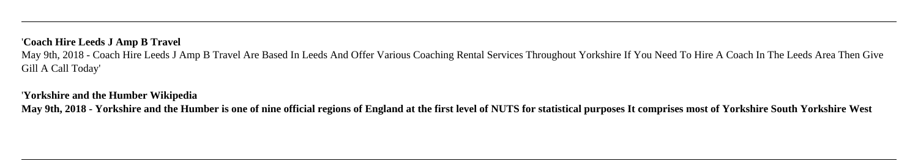## '**Coach Hire Leeds J Amp B Travel**

May 9th, 2018 - Coach Hire Leeds J Amp B Travel Are Based In Leeds And Offer Various Coaching Rental Services Throughout Yorkshire If You Need To Hire A Coach In The Leeds Area Then Give Gill A Call Today'

## '**Yorkshire and the Humber Wikipedia**

**May 9th, 2018 - Yorkshire and the Humber is one of nine official regions of England at the first level of NUTS for statistical purposes It comprises most of Yorkshire South Yorkshire West**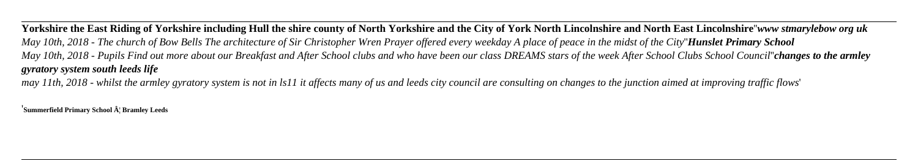**Yorkshire the East Riding of Yorkshire including Hull the shire county of North Yorkshire and the City of York North Lincolnshire and North East Lincolnshire**''*www stmarylebow org uk May 10th, 2018 - The church of Bow Bells The architecture of Sir Christopher Wren Prayer offered every weekday A place of peace in the midst of the City*''*Hunslet Primary School May 10th, 2018 - Pupils Find out more about our Breakfast and After School clubs and who have been our class DREAMS stars of the week After School Clubs School Council*''*changes to the armley gyratory system south leeds life*

*may 11th, 2018 - whilst the armley gyratory system is not in ls11 it affects many of us and leeds city council are consulting on changes to the junction aimed at improving traffic flows*'

<sup>'</sup>**Summerfield Primary School**  $\hat{A}$ <sup>'</sup> Bramley Leeds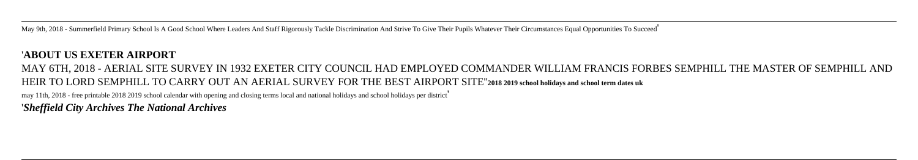May 9th, 2018 - Summerfield Primary School Is A Good School Where Leaders And Staff Rigorously Tackle Discrimination And Strive To Give Their Pupils Whatever Their Circumstances Equal Opportunities To Succeed'

## '**ABOUT US EXETER AIRPORT**

# MAY 6TH, 2018 - AERIAL SITE SURVEY IN 1932 EXETER CITY COUNCIL HAD EMPLOYED COMMANDER WILLIAM FRANCIS FORBES SEMPHILL THE MASTER OF SEMPHILL AND HEIR TO LORD SEMPHILL TO CARRY OUT AN AERIAL SURVEY FOR THE BEST AIRPORT SITE''**2018 2019 school holidays and school term dates uk** may 11th, 2018 - free printable 2018 2019 school calendar with opening and closing terms local and national holidays and school holidays per district'

'*Sheffield City Archives The National Archives*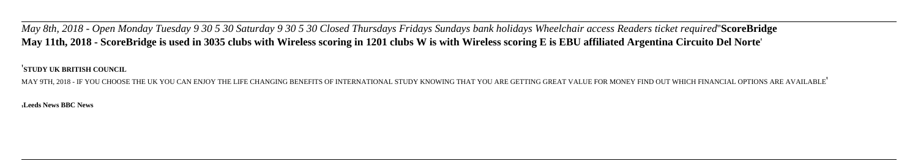*May 8th, 2018 - Open Monday Tuesday 9 30 5 30 Saturday 9 30 5 30 Closed Thursdays Fridays Sundays bank holidays Wheelchair access Readers ticket required*''**ScoreBridge May 11th, 2018 - ScoreBridge is used in 3035 clubs with Wireless scoring in 1201 clubs W is with Wireless scoring E is EBU affiliated Argentina Circuito Del Norte**'

'**STUDY UK BRITISH COUNCIL**

MAY 9TH, 2018 - IF YOU CHOOSE THE UK YOU CAN ENJOY THE LIFE CHANGING BENEFITS OF INTERNATIONAL STUDY KNOWING THAT YOU ARE GETTING GREAT VALUE FOR MONEY FIND OUT WHICH FINANCIAL OPTIONS ARE AVAILABLE'

'**Leeds News BBC News**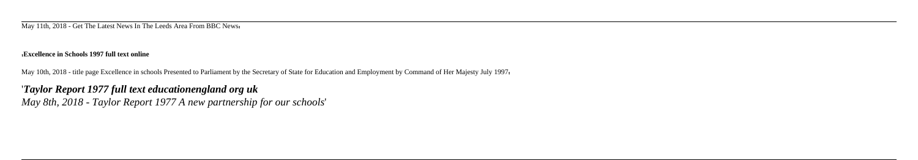May 11th, 2018 - Get The Latest News In The Leeds Area From BBC News'

### '**Excellence in Schools 1997 full text online**

May 10th, 2018 - title page Excellence in schools Presented to Parliament by the Secretary of State for Education and Employment by Command of Her Majesty July 1997'

## '*Taylor Report 1977 full text educationengland org uk May 8th, 2018 - Taylor Report 1977 A new partnership for our schools*'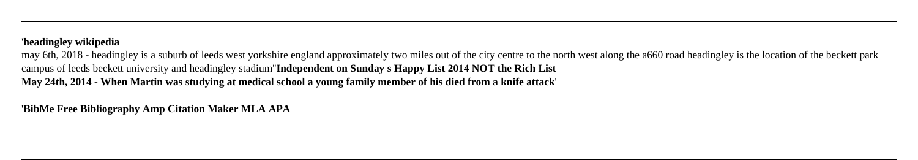## '**headingley wikipedia**

may 6th, 2018 - headingley is a suburb of leeds west yorkshire england approximately two miles out of the city centre to the north west along the a660 road headingley is the location of the beckett park campus of leeds beckett university and headingley stadium''**Independent on Sunday s Happy List 2014 NOT the Rich List May 24th, 2014 - When Martin was studying at medical school a young family member of his died from a knife attack**'

'**BibMe Free Bibliography Amp Citation Maker MLA APA**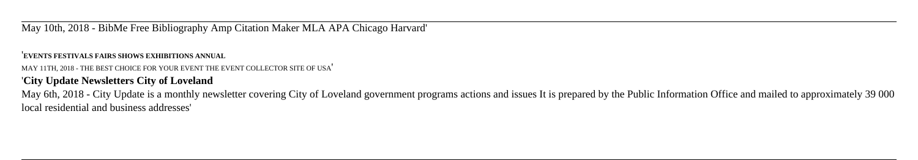May 10th, 2018 - BibMe Free Bibliography Amp Citation Maker MLA APA Chicago Harvard'

### '**EVENTS FESTIVALS FAIRS SHOWS EXHIBITIONS ANNUAL**

MAY 11TH, 2018 - THE BEST CHOICE FOR YOUR EVENT THE EVENT COLLECTOR SITE OF USA'

## '**City Update Newsletters City of Loveland**

May 6th, 2018 - City Update is a monthly newsletter covering City of Loveland government programs actions and issues It is prepared by the Public Information Office and mailed to approximately 39 000 local residential and business addresses'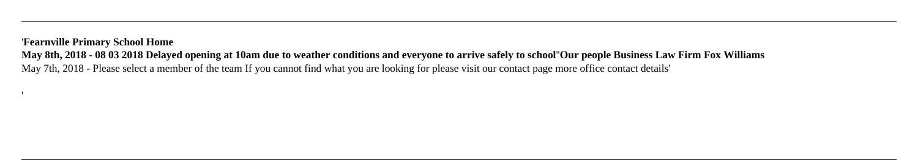## '**Fearnville Primary School Home**

**May 8th, 2018 - 08 03 2018 Delayed opening at 10am due to weather conditions and everyone to arrive safely to school**''**Our people Business Law Firm Fox Williams** May 7th, 2018 - Please select a member of the team If you cannot find what you are looking for please visit our contact page more office contact details'

'